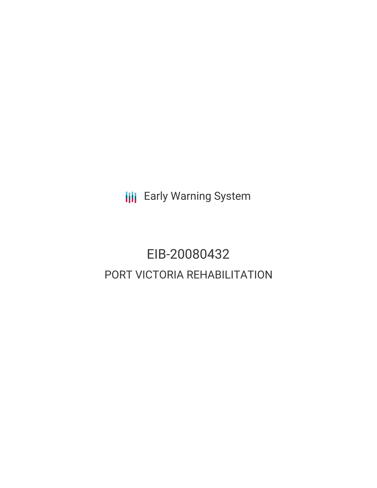**III** Early Warning System

# EIB-20080432 PORT VICTORIA REHABILITATION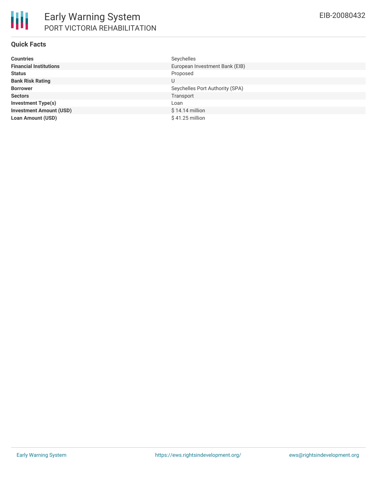

### **Quick Facts**

| <b>Countries</b>               | Seychelles                      |
|--------------------------------|---------------------------------|
| <b>Financial Institutions</b>  | European Investment Bank (EIB)  |
| <b>Status</b>                  | Proposed                        |
| <b>Bank Risk Rating</b>        | U                               |
| <b>Borrower</b>                | Seychelles Port Authority (SPA) |
| <b>Sectors</b>                 | Transport                       |
| <b>Investment Type(s)</b>      | Loan                            |
| <b>Investment Amount (USD)</b> | $$14.14$ million                |
| <b>Loan Amount (USD)</b>       | $$41.25$ million                |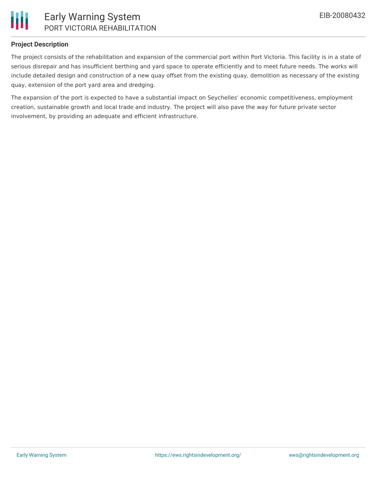

# **Project Description**

The project consists of the rehabilitation and expansion of the commercial port within Port Victoria. This facility is in a state of serious disrepair and has insufficient berthing and yard space to operate efficiently and to meet future needs. The works will include detailed design and construction of a new quay offset from the existing quay, demolition as necessary of the existing quay, extension of the port yard area and dredging.

The expansion of the port is expected to have a substantial impact on Seychelles' economic competitiveness, employment creation, sustainable growth and local trade and industry. The project will also pave the way for future private sector involvement, by providing an adequate and efficient infrastructure.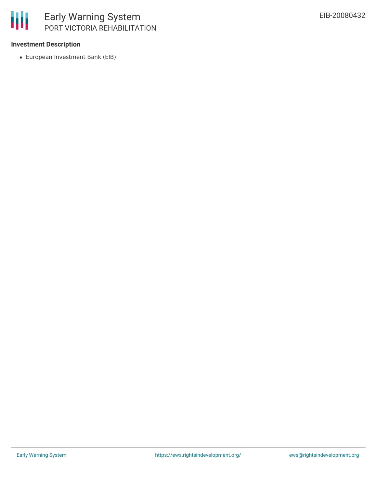

## **Investment Description**

European Investment Bank (EIB)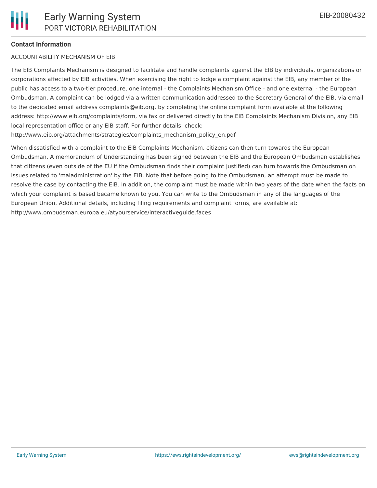### **Contact Information**

#### ACCOUNTABILITY MECHANISM OF EIB

The EIB Complaints Mechanism is designed to facilitate and handle complaints against the EIB by individuals, organizations or corporations affected by EIB activities. When exercising the right to lodge a complaint against the EIB, any member of the public has access to a two-tier procedure, one internal - the Complaints Mechanism Office - and one external - the European Ombudsman. A complaint can be lodged via a written communication addressed to the Secretary General of the EIB, via email to the dedicated email address complaints@eib.org, by completing the online complaint form available at the following address: http://www.eib.org/complaints/form, via fax or delivered directly to the EIB Complaints Mechanism Division, any EIB local representation office or any EIB staff. For further details, check:

http://www.eib.org/attachments/strategies/complaints\_mechanism\_policy\_en.pdf

When dissatisfied with a complaint to the EIB Complaints Mechanism, citizens can then turn towards the European Ombudsman. A memorandum of Understanding has been signed between the EIB and the European Ombudsman establishes that citizens (even outside of the EU if the Ombudsman finds their complaint justified) can turn towards the Ombudsman on issues related to 'maladministration' by the EIB. Note that before going to the Ombudsman, an attempt must be made to resolve the case by contacting the EIB. In addition, the complaint must be made within two years of the date when the facts on which your complaint is based became known to you. You can write to the Ombudsman in any of the languages of the European Union. Additional details, including filing requirements and complaint forms, are available at: http://www.ombudsman.europa.eu/atyourservice/interactiveguide.faces